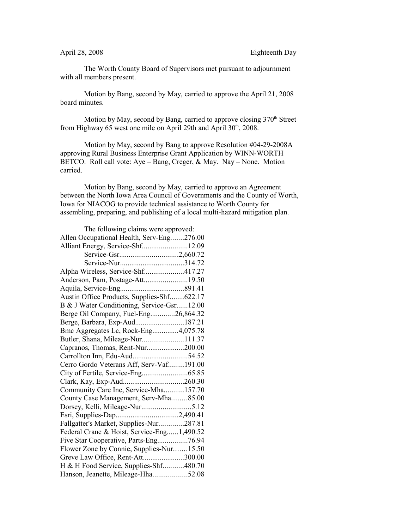The Worth County Board of Supervisors met pursuant to adjournment with all members present.

Motion by Bang, second by May, carried to approve the April 21, 2008 board minutes.

Motion by May, second by Bang, carried to approve closing  $370<sup>th</sup>$  Street from Highway 65 west one mile on April 29th and April 30<sup>th</sup>, 2008.

Motion by May, second by Bang to approve Resolution #04-29-2008A approving Rural Business Enterprise Grant Application by WINN-WORTH BETCO. Roll call vote: Aye – Bang, Creger, & May. Nay – None. Motion carried.

Motion by Bang, second by May, carried to approve an Agreement between the North Iowa Area Council of Governments and the County of Worth, Iowa for NIACOG to provide technical assistance to Worth County for assembling, preparing, and publishing of a local multi-hazard mitigation plan.

| The following claims were approved:        |  |
|--------------------------------------------|--|
| Allen Occupational Health, Serv-Eng276.00  |  |
| Alliant Energy, Service-Shf12.09           |  |
| Service-Gsr2,660.72                        |  |
| Service-Nur314.72                          |  |
| Alpha Wireless, Service-Shf417.27          |  |
| Anderson, Pam, Postage-Att19.50            |  |
|                                            |  |
| Austin Office Products, Supplies-Shf622.17 |  |
| B & J Water Conditioning, Service-Gsr12.00 |  |
| Berge Oil Company, Fuel-Eng26,864.32       |  |
| Berge, Barbara, Exp-Aud187.21              |  |
| Bmc Aggregates Lc, Rock-Eng4,075.78        |  |
| Butler, Shana, Mileage-Nur111.37           |  |
| Capranos, Thomas, Rent-Nur200.00           |  |
| Carrollton Inn, Edu-Aud54.52               |  |
| Cerro Gordo Veterans Aff, Serv-Vaf191.00   |  |
|                                            |  |
|                                            |  |
| Community Care Inc, Service-Mha157.70      |  |
| County Case Management, Serv-Mha85.00      |  |
|                                            |  |
| Esri, Supplies-Dap2,490.41                 |  |
| Fallgatter's Market, Supplies-Nur287.81    |  |
| Federal Crane & Hoist, Service-Eng1,490.52 |  |
| Five Star Cooperative, Parts-Eng76.94      |  |
| Flower Zone by Connie, Supplies-Nur15.50   |  |
| Greve Law Office, Rent-Att300.00           |  |
| H & H Food Service, Supplies-Shf480.70     |  |
| Hanson, Jeanette, Mileage-Hha52.08         |  |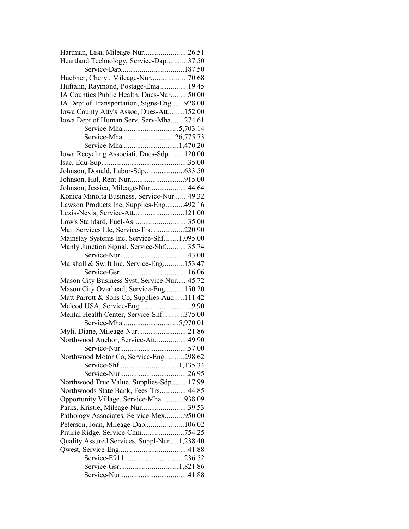| Hartman, Lisa, Mileage-Nur26.51             |  |
|---------------------------------------------|--|
| Heartland Technology, Service-Dap37.50      |  |
|                                             |  |
| Huebner, Cheryl, Mileage-Nur70.68           |  |
| Huftalin, Raymond, Postage-Ema19.45         |  |
| IA Counties Public Health, Dues-Nur50.00    |  |
| IA Dept of Transportation, Signs-Eng928.00  |  |
| Iowa County Atty's Assoc, Dues-Att152.00    |  |
| Iowa Dept of Human Serv, Serv-Mha274.61     |  |
|                                             |  |
| Service-Mha26,775.73                        |  |
|                                             |  |
| Iowa Recycling Associati, Dues-Sdp120.00    |  |
|                                             |  |
| Johnson, Donald, Labor-Sdp633.50            |  |
|                                             |  |
| Johnson, Jessica, Mileage-Nur44.64          |  |
| Konica Minolta Business, Service-Nur49.32   |  |
| Lawson Products Inc, Supplies-Eng492.16     |  |
| Lexis-Nexis, Service-Att121.00              |  |
| Low's Standard, Fuel-Asr35.00               |  |
| Mail Services Llc, Service-Trs220.90        |  |
| Mainstay Systems Inc, Service-Shf1,095.00   |  |
| Manly Junction Signal, Service-Shf35.74     |  |
|                                             |  |
| Marshall & Swift Inc, Service-Eng153.47     |  |
|                                             |  |
| Mason City Business Syst, Service-Nur45.72  |  |
| Mason City Overhead, Service-Eng150.20      |  |
| Matt Parrott & Sons Co, Supplies-Aud111.42  |  |
|                                             |  |
| Mental Health Center, Service-Shf375.00     |  |
|                                             |  |
| Myli, Diane, Mileage-Nur21.86               |  |
| Northwood Anchor, Service-Att49.90          |  |
|                                             |  |
| Northwood Motor Co, Service-Eng298.62       |  |
|                                             |  |
|                                             |  |
| Northwood True Value, Supplies-Sdp17.99     |  |
| Northwoods State Bank, Fees-Trs44.85        |  |
| Opportunity Village, Service-Mha938.09      |  |
| Parks, Kristie, Mileage-Nur39.53            |  |
| Pathology Associates, Service-Mex950.00     |  |
| Peterson, Joan, Mileage-Dap106.02           |  |
| Prairie Ridge, Service-Chm754.25            |  |
| Quality Assured Services, Suppl-Nur1,238.40 |  |
|                                             |  |
|                                             |  |
|                                             |  |
|                                             |  |